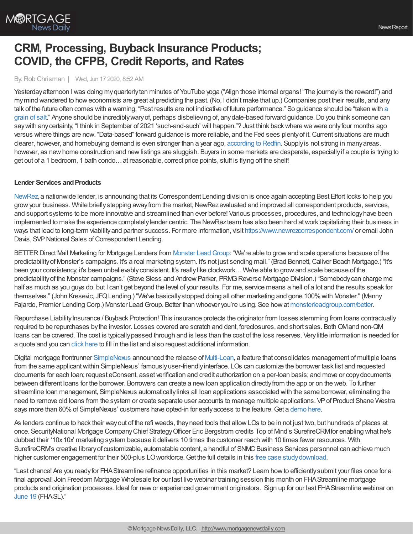

# **CRM, Processing, Buyback Insurance Products; COVID, the CFPB, Credit Reports, and Rates**

## By: Rob Chrisman | Wed, Jun 17 2020, 8:52 AM

Yesterdayafternoon Iwas doing myquarterlyten minutes of YouTube yoga ("Align those internal organs! "The journeyis the reward!") and mymind wandered to howeconomists are great at predicting the past. (No, I didn't make that up.) Companies post their results, and any talk of the future often comes with a warning, "Past results are not indicative of future performance." So guidance should be "taken with a grain of salt." Anyone should be [incrediblywaryof,](https://www.theidioms.com/take-with-a-grain-of-salt/) perhaps disbelieving of, anydate-based forward guidance.Do you think someone can say with any certainty, "I think in September of 2021 'such-and-such' will happen."? Just think back where we were only four months ago versus where things are now. "Data-based" forward guidance is more reliable, and the Fed sees plentyof it.Current situations are much clearer, however, and homebuying demand is even stronger than a year ago, [according](https://www.redfin.com/blog/home-buying-demand-gets-stronger-amid-pandemic/) to Redfin. Supplyis not strong in manyareas, however, as new home construction and new listings are sluggish. Buyers in some markets are desperate, especially if a couple is trying to get out of a 1 bedroom, 1 bath condo…at reasonable, correct price points, stuff is flying off the shelf!

## **Lender Services and Products**

[NewRez,](https://www.newrez.com/) a nationwide lender, is announcing that its Correspondent Lending division is once again accepting Best Effort locks to help you grow your business. While briefly stepping away from the market, NewRezevaluated and improved all correspondent products, services, and support systems to be more innovative and streamlined than ever before! Various processes, procedures, and technologyhave been implemented to make the experience completelylender centric. The NewRezteam has also been hard atwork capitalizing their business in ways that lead to long-term viabilityand partner success. For more information, visit <https://www.newrezcorrespondent.com/> or email John Davis, SVP National Sales of Correspondent Lending.

BETTER Direct Mail Marketing for Mortgage Lenders from Monster Lead Group: "We're able to grow and scale operations because of the predictability of Monster's campaigns. It's a real marketing system. It's not just sending mail." (Brad Bennett, Caliver Beach Mortgage.) "It's been your consistency; it's been unbelievably consistent. It's really like clockwork... We're able to grow and scale because of the predictability of the Monster campaigns." (Steve Sless and Andrew Parker, PRMG Reverse Mortgage Division.) "Somebody can charge me half as much as you guys do, but I can't get beyond the level of your results. For me, service means a hell of a lot and the results speak for themselves." (John Kresevic, JFQLending.) "We've basicallystopped doing all other marketing and gone 100%with Monster."(Manny Fajardo, Premier Lending Corp.) Monster Lead Group. Better than whoever you're using. See how at [monsterleadgroup.com/better.](https://monsterleadgroup.com/better)

Repurchase Liability Insurance / Buyback Protection! This insurance protects the originator from losses stemming from loans contractually required to be repurchases bythe investor. Losses covered are scratch and dent, foreclosures, and short sales. BothQMand non-QM loans can be covered. The cost is typicallypassed through and is less than the cost of the loss reserves. Verylittle information is needed for a quote and you can click [here](https://www.andersonagency.group/mortgage-repurchase-liability) to fill in the list and also request additional information.

Digital mortgage frontrunner [SimpleNexus](https://bit.ly/2zqcgFK) announced the release of [Multi-Loan](https://bit.ly/2Yrmaj3), a feature that consolidates management of multiple loans from the same applicant within SimpleNexus' famously user-friendly interface. LOs can customize the borrower task list and requested documents for each loan; request eConsent, asset verification and credit authorization on a per-loan basis; and move or copydocuments between different loans for the borrower. Borrowers can create a newloan application directlyfrom the app or on the web. To further streamline loan management, SimpleNexus automaticallylinks all loan applications associated with the same borrower, eliminating the need to remove old loans from the system or create separate user accounts to manage multiple applications. VP of Product Shane Westra says more than 60% of SimpleNexus' customers have opted-in for early access to the feature. Get a [demo](https://bit.ly/2AxRmF8) here.

As lenders continue to hack their wayout of the refi weeds, theyneed tools that allowLOs to be in not just two, but hundreds of places at once. SecurityNational Mortgage CompanyChief StrategyOfficer Eric Bergstrom credits Top of Mind's SurefireCRMfor enabling what he's dubbed their '10x10x' marketing system because it delivers 10 times the customer reach with 10 times fewer resources. With SurefireCRM's creative library of customizable, automatable content, a handful of SNMC Business Services personnel can achieve much higher customer engagement for their 500-plus LO workforce. Get the full details in this free case study download.

"Last chance! Are you readyfor FHAStreamline refinance opportunities in this market? Learn howto efficientlysubmit your files once for a final approval! Join Freedom Mortgage Wholesale for our last live webinar training session this month on FHAStreamline mortgage products and origination processes. Ideal for newor experienced government originators. Sign up for our last FHAStreamline webinar on [June](https://freedom.zoom.us/meeting/register/tJYsduGgpj4oGNLrqZ67CUcrWXCUbZ0-GD5n) 19 (FHASL)."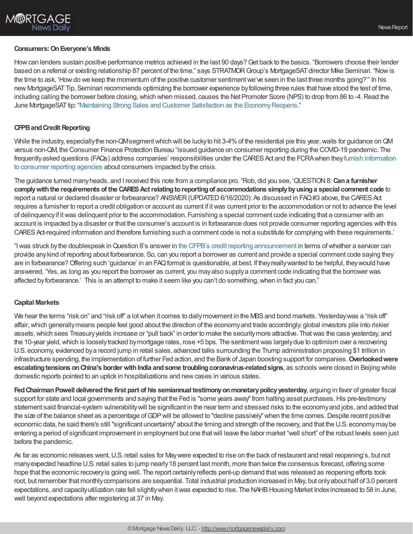## **Consumers:OnEveryone's Minds**

How can lenders sustain positive performance metrics achieved in the last 90 days? Get back to the basics. "Borrowers choose their lender based on a referral or existing relationship 87 percent of the time," says STRATMOR Group's MortgageSAT director Mike Seminari. "Now is the time to ask, 'Howdo we keep the momentum of the positive customer sentimentwe've seen in the last three months going?'" In his new MortgageSATTip, Seminari recommends optimizing the borrower experience byfollowing three rules that have stood the test of time, including calling the borrower before closing, which when missed, causes the Net Promoter Score (NPS) to drop from 86 to -4. Read the June MortgageSATtip: "Maintaining Strong Sales and Customer Satisfaction as the [EconomyReopens](https://www.stratmorgroup.com/mortgagesat_tips/maintaining-strong-sales-and-customer-satisfaction-as-the-economy-reopens/)."

## **CFPBandCredit Reporting**

While the industry, especially the non-QMsegment which will be lucky to hit 3-4% of the residential pie this year, waits for guidance on QM versus non-QM, the Consumer Finance Protection Bureau "issued guidance on consumer reporting during the COVID-19 pandemic. The frequently asked questions (FAQs) address companies' responsibilities under the CARES Act and the FCRA when they furnish information to consumer reporting agencies about consumers impacted bythe crisis.

The guidance turned manyheads, and I received this note from a compliance pro. "Rob, did you see, 'QUESTION8:**Cana furnisher complywiththe requirements of the CARESActrelatingtoreportingof accommodations simplybyusinga special comment code** to report a natural or declared disaster or forbearance? ANSWER (UPDATED 6/16/2020): As discussed in FAQ#3 above, the CARES Act requires a furnisher to report a credit obligation or account as current if itwas current prior to the accommodation or not to advance the level of delinquencyif itwas delinquent prior to the accommodation. Furnishing a special comment code indicating that a consumer with an account is impacted bya disaster or that the consumer's account is in forbearance does not provide consumer reporting agencies with this CARES Act-required information and therefore furnishing such a comment code is not a substitute for complying with these requirements.'

"Iwas struck bythe doublespeak inQuestion 8's answer in the CFPB's credit reporting [announcement](https://eur04.safelinks.protection.outlook.com/?url=https%253A%252F%252Ffiles.consumerfinance.gov%252Ff%252Fdocuments%252Fcfpb_fcra_consumer-reporting-faqs-covid-19_2020-06.pdf&data=02%257C01%257C%257Ccb0f8382f7414688de1b08d8124c87b8%257C84df9e7fe9f640afb435aaaaaaaaaaaa%257C1%257C0%257C637279467185826301&sdata=jmyF0qqPz7bNpRzHTEjBbyhKRbRlOCgvfDtQvLcLYqM%253D&reserved=0) in terms ofwhether a servicer can provide anykind of reporting about forbearance. So, can you report a borrower as current and provide a special comment code saying they are in forbearance?Offering such 'guidance' in an FAQformat is questionable, at best. If theyreallywanted to be helpful, theywould have answered, 'Yes, as long as you report the borrower as current, you mayalso supplya comment code indicating that the borrower was affected byforbearance.' This is an attempt to make it seem like you can't do something,when in fact you can."

### **Capital Markets**

We hear the terms "risk on" and "risk off" a lot when it comes to daily movement in the MBS and bond markets. Yesterday was a "risk off" affair, which generally means people feel good about the direction of the economy and trade accordingly: global investors pile into riskier assets,which sees Treasuryyields increase or "pull back" in order to make the securitymore attractive. Thatwas the case yesterday, and the 10-year yield,which is looselytracked bymortgage rates, rose +5 bps. The sentimentwas largelydue to optimism over a recovering U.S. economy, evidenced bya record jump in retail sales, advanced talks surrounding the Trump administration proposing \$1 trillion in infrastructure spending, the implementation of further Fed action, and the Bank of Japan boosting support for companies.**Overlookedwere escalating tensions on China's border with India and some troubling coronavirus-related signs, as schools were closed in Beijing while** domestic reports pointed to an uptick in hospitalizations and newcases in various states.

**FedChairmanPowell deliveredthe first part of his semiannual testimonyonmonetarypolicyyesterday**, arguing in favor of greater fiscal support for state and local governments and saying that the Fed is "some years away" from halting asset purchases. His pre-testimony statement said financial-system vulnerabilitywill be significant in the near term and stressed risks to the economyand jobs, and added that the size of the balance sheet as a percentage of GDP will be allowed to "decline passively" when the time comes. Despite recent positive economic data, he said there's still "significant uncertainty" about the timing and strength of the recovery, and that the U.S. economymaybe entering a period of significant improvement in employment but one thatwill leave the labor market "well short" of the robust levels seen just before the pandemic.

As far as economic releases went, U.S. retail sales for Maywere expected to rise on the back of restaurant and retail reopening's, but not manyexpected headline U.S. retail sales to jump nearly18 percent last month, more than twice the consensus forecast, offering some hope that the economic recoveryis going well. The report certainlyreflects pent-up demand thatwas released as reopening efforts took root, but remember that monthlycomparisons are sequential. Total industrial production increased in May, but onlyabout half of 3.0 percent expectations, and capacityutilization rate fell slightlywhen itwas expected to rise. The NAHBHousing Market Indexincreased to 58 in June, well beyond expectations after registering at 37 in May.